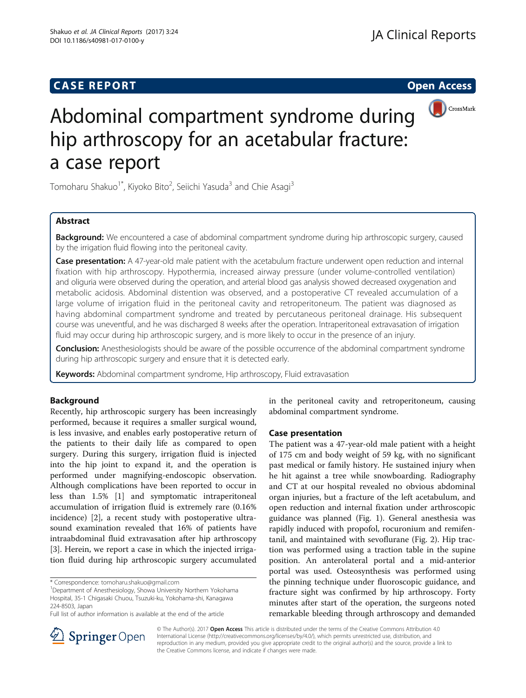## **CASE REPORT CASE REPORT CASE REPORT**





# Abdominal compartment syndrome during hip arthroscopy for an acetabular fracture: a case report

Tomoharu Shakuo<sup>1\*</sup>, Kiyoko Bito<sup>2</sup>, Seiichi Yasuda<sup>3</sup> and Chie Asagi<sup>3</sup>

## Abstract

**Background:** We encountered a case of abdominal compartment syndrome during hip arthroscopic surgery, caused by the irrigation fluid flowing into the peritoneal cavity.

Case presentation: A 47-year-old male patient with the acetabulum fracture underwent open reduction and internal fixation with hip arthroscopy. Hypothermia, increased airway pressure (under volume-controlled ventilation) and oliguria were observed during the operation, and arterial blood gas analysis showed decreased oxygenation and metabolic acidosis. Abdominal distention was observed, and a postoperative CT revealed accumulation of a large volume of irrigation fluid in the peritoneal cavity and retroperitoneum. The patient was diagnosed as having abdominal compartment syndrome and treated by percutaneous peritoneal drainage. His subsequent course was uneventful, and he was discharged 8 weeks after the operation. Intraperitoneal extravasation of irrigation fluid may occur during hip arthroscopic surgery, and is more likely to occur in the presence of an injury.

**Conclusion:** Anesthesiologists should be aware of the possible occurrence of the abdominal compartment syndrome during hip arthroscopic surgery and ensure that it is detected early.

Keywords: Abdominal compartment syndrome, Hip arthroscopy, Fluid extravasation

### Background

Recently, hip arthroscopic surgery has been increasingly performed, because it requires a smaller surgical wound, is less invasive, and enables early postoperative return of the patients to their daily life as compared to open surgery. During this surgery, irrigation fluid is injected into the hip joint to expand it, and the operation is performed under magnifying-endoscopic observation. Although complications have been reported to occur in less than 1.5% [\[1\]](#page-3-0) and symptomatic intraperitoneal accumulation of irrigation fluid is extremely rare (0.16% incidence) [\[2](#page-3-0)], a recent study with postoperative ultrasound examination revealed that 16% of patients have intraabdominal fluid extravasation after hip arthroscopy [[3\]](#page-3-0). Herein, we report a case in which the injected irrigation fluid during hip arthroscopic surgery accumulated

<sup>1</sup>Department of Anesthesiology, Showa University Northern Yokohama Hospital, 35-1 Chigasaki Chuou, Tsuzuki-ku, Yokohama-shi, Kanagawa 224-8503, Japan

in the peritoneal cavity and retroperitoneum, causing abdominal compartment syndrome.

#### Case presentation

The patient was a 47-year-old male patient with a height of 175 cm and body weight of 59 kg, with no significant past medical or family history. He sustained injury when he hit against a tree while snowboarding. Radiography and CT at our hospital revealed no obvious abdominal organ injuries, but a fracture of the left acetabulum, and open reduction and internal fixation under arthroscopic guidance was planned (Fig. [1](#page-1-0)). General anesthesia was rapidly induced with propofol, rocuronium and remifentanil, and maintained with sevoflurane (Fig. [2](#page-1-0)). Hip traction was performed using a traction table in the supine position. An anterolateral portal and a mid-anterior portal was used. Osteosynthesis was performed using the pinning technique under fluoroscopic guidance, and fracture sight was confirmed by hip arthroscopy. Forty minutes after start of the operation, the surgeons noted remarkable bleeding through arthroscopy and demanded



© The Author(s). 2017 Open Access This article is distributed under the terms of the Creative Commons Attribution 4.0 International License ([http://creativecommons.org/licenses/by/4.0/\)](http://creativecommons.org/licenses/by/4.0/), which permits unrestricted use, distribution, and reproduction in any medium, provided you give appropriate credit to the original author(s) and the source, provide a link to the Creative Commons license, and indicate if changes were made.

<sup>\*</sup> Correspondence: [tomoharu.shakuo@gmail.com](mailto:tomoharu.shakuo@gmail.com) <sup>1</sup>

Full list of author information is available at the end of the article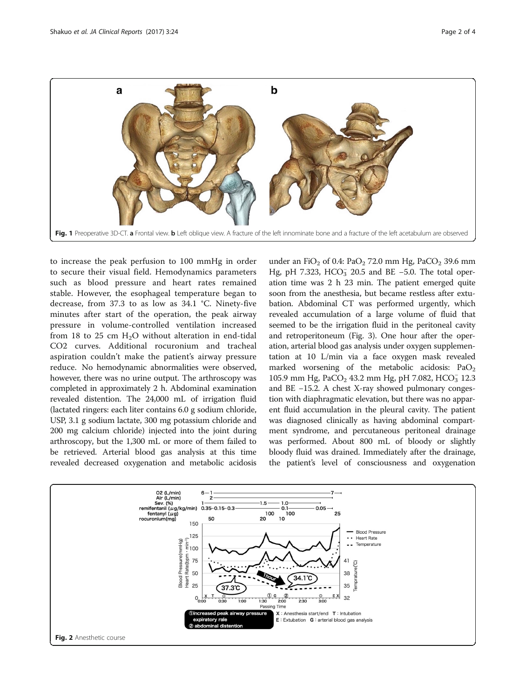<span id="page-1-0"></span>

to increase the peak perfusion to 100 mmHg in order to secure their visual field. Hemodynamics parameters such as blood pressure and heart rates remained stable. However, the esophageal temperature began to decrease, from 37.3 to as low as 34.1 °C. Ninety-five minutes after start of the operation, the peak airway pressure in volume-controlled ventilation increased from 18 to 25 cm  $H<sub>2</sub>O$  without alteration in end-tidal CO2 curves. Additional rocuronium and tracheal aspiration couldn't make the patient's airway pressure reduce. No hemodynamic abnormalities were observed, however, there was no urine output. The arthroscopy was completed in approximately 2 h. Abdominal examination revealed distention. The 24,000 mL of irrigation fluid (lactated ringers: each liter contains 6.0 g sodium chloride, USP, 3.1 g sodium lactate, 300 mg potassium chloride and 200 mg calcium chloride) injected into the joint during arthroscopy, but the 1,300 mL or more of them failed to be retrieved. Arterial blood gas analysis at this time revealed decreased oxygenation and metabolic acidosis

under an FiO<sub>2</sub> of 0.4: PaO<sub>2</sub> 72.0 mm Hg, PaCO<sub>2</sub> 39.6 mm Hg, pH 7.323, HCO<sub>3</sub> 20.5 and BE -5.0. The total operation time was 2 h 23 min. The patient emerged quite soon from the anesthesia, but became restless after extubation. Abdominal CT was performed urgently, which revealed accumulation of a large volume of fluid that seemed to be the irrigation fluid in the peritoneal cavity and retroperitoneum (Fig. [3\)](#page-2-0). One hour after the operation, arterial blood gas analysis under oxygen supplementation at 10 L/min via a face oxygen mask revealed marked worsening of the metabolic acidosis:  $PaO<sub>2</sub>$ 105.9 mm Hg, PaCO<sub>2</sub> 43.2 mm Hg, pH 7.082, HCO<sub>3</sub> 12.3 and BE −15.2. A chest X-ray showed pulmonary congestion with diaphragmatic elevation, but there was no apparent fluid accumulation in the pleural cavity. The patient was diagnosed clinically as having abdominal compartment syndrome, and percutaneous peritoneal drainage was performed. About 800 mL of bloody or slightly bloody fluid was drained. Immediately after the drainage, the patient's level of consciousness and oxygenation

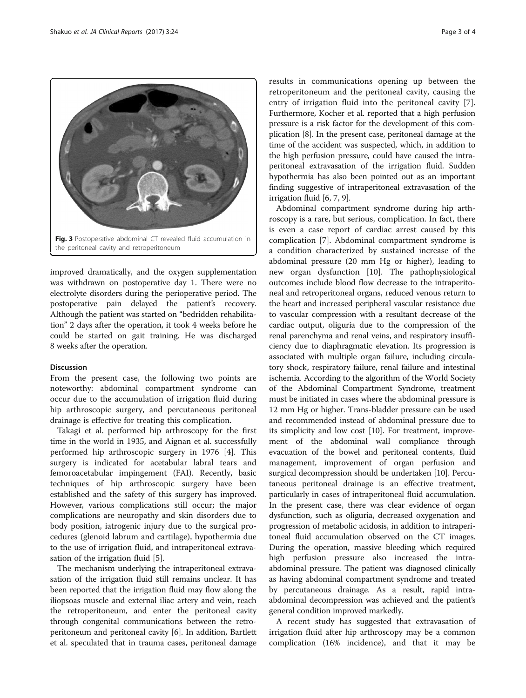<span id="page-2-0"></span>

improved dramatically, and the oxygen supplementation was withdrawn on postoperative day 1. There were no electrolyte disorders during the perioperative period. The postoperative pain delayed the patient's recovery. Although the patient was started on "bedridden rehabilitation" 2 days after the operation, it took 4 weeks before he could be started on gait training. He was discharged 8 weeks after the operation.

#### Discussion

From the present case, the following two points are noteworthy: abdominal compartment syndrome can occur due to the accumulation of irrigation fluid during hip arthroscopic surgery, and percutaneous peritoneal drainage is effective for treating this complication.

Takagi et al. performed hip arthroscopy for the first time in the world in 1935, and Aignan et al. successfully performed hip arthroscopic surgery in 1976 [[4\]](#page-3-0). This surgery is indicated for acetabular labral tears and femoroacetabular impingement (FAI). Recently, basic techniques of hip arthroscopic surgery have been established and the safety of this surgery has improved. However, various complications still occur; the major complications are neuropathy and skin disorders due to body position, iatrogenic injury due to the surgical procedures (glenoid labrum and cartilage), hypothermia due to the use of irrigation fluid, and intraperitoneal extravasation of the irrigation fluid [\[5](#page-3-0)].

The mechanism underlying the intraperitoneal extravasation of the irrigation fluid still remains unclear. It has been reported that the irrigation fluid may flow along the iliopsoas muscle and external iliac artery and vein, reach the retroperitoneum, and enter the peritoneal cavity through congenital communications between the retroperitoneum and peritoneal cavity [\[6](#page-3-0)]. In addition, Bartlett et al. speculated that in trauma cases, peritoneal damage

results in communications opening up between the retroperitoneum and the peritoneal cavity, causing the entry of irrigation fluid into the peritoneal cavity [\[7](#page-3-0)]. Furthermore, Kocher et al. reported that a high perfusion pressure is a risk factor for the development of this complication [\[8](#page-3-0)]. In the present case, peritoneal damage at the time of the accident was suspected, which, in addition to the high perfusion pressure, could have caused the intraperitoneal extravasation of the irrigation fluid. Sudden hypothermia has also been pointed out as an important finding suggestive of intraperitoneal extravasation of the irrigation fluid [\[6](#page-3-0), [7](#page-3-0), [9](#page-3-0)].

Abdominal compartment syndrome during hip arthroscopy is a rare, but serious, complication. In fact, there is even a case report of cardiac arrest caused by this complication [[7\]](#page-3-0). Abdominal compartment syndrome is a condition characterized by sustained increase of the abdominal pressure (20 mm Hg or higher), leading to new organ dysfunction [\[10](#page-3-0)]. The pathophysiological outcomes include blood flow decrease to the intraperitoneal and retroperitoneal organs, reduced venous return to the heart and increased peripheral vascular resistance due to vascular compression with a resultant decrease of the cardiac output, oliguria due to the compression of the renal parenchyma and renal veins, and respiratory insufficiency due to diaphragmatic elevation. Its progression is associated with multiple organ failure, including circulatory shock, respiratory failure, renal failure and intestinal ischemia. According to the algorithm of the World Society of the Abdominal Compartment Syndrome, treatment must be initiated in cases where the abdominal pressure is 12 mm Hg or higher. Trans-bladder pressure can be used and recommended instead of abdominal pressure due to its simplicity and low cost [\[10](#page-3-0)]. For treatment, improvement of the abdominal wall compliance through evacuation of the bowel and peritoneal contents, fluid management, improvement of organ perfusion and surgical decompression should be undertaken [\[10](#page-3-0)]. Percutaneous peritoneal drainage is an effective treatment, particularly in cases of intraperitoneal fluid accumulation. In the present case, there was clear evidence of organ dysfunction, such as oliguria, decreased oxygenation and progression of metabolic acidosis, in addition to intraperitoneal fluid accumulation observed on the CT images. During the operation, massive bleeding which required high perfusion pressure also increased the intraabdominal pressure. The patient was diagnosed clinically as having abdominal compartment syndrome and treated by percutaneous drainage. As a result, rapid intraabdominal decompression was achieved and the patient's general condition improved markedly.

A recent study has suggested that extravasation of irrigation fluid after hip arthroscopy may be a common complication (16% incidence), and that it may be